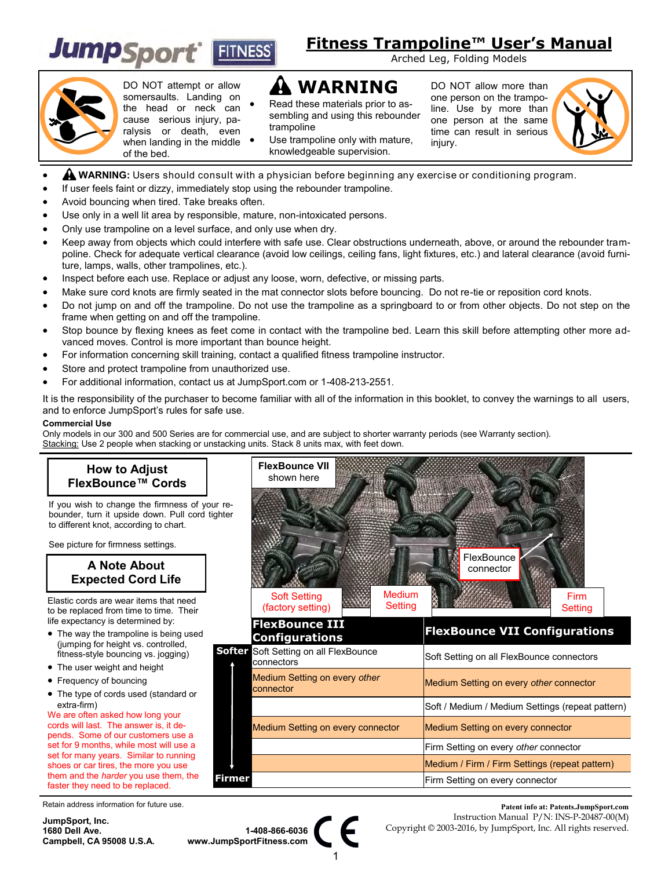

# **Fitness Trampoline™ User's Manual**

Arched Leg, Folding Models

injury.

DO NOT allow more than one person on the trampoline. Use by more than one person at the same time can result in serious



DO NOT attempt or allow somersaults. Landing on the head or neck can cause serious injury, paralysis or death, even when landing in the middle  $\bullet$ of the bed.

- **WARNING**
- Read these materials prior to assembling and using this rebounder trampoline

 Use trampoline only with mature, knowledgeable supervision.

- **WARNING:** Users should consult with a physician before beginning any exercise or conditioning program.
- If user feels faint or dizzy, immediately stop using the rebounder trampoline.
- Avoid bouncing when tired. Take breaks often.
- Use only in a well lit area by responsible, mature, non-intoxicated persons.
- Only use trampoline on a level surface, and only use when dry.
- Keep away from objects which could interfere with safe use. Clear obstructions underneath, above, or around the rebounder trampoline. Check for adequate vertical clearance (avoid low ceilings, ceiling fans, light fixtures, etc.) and lateral clearance (avoid furniture, lamps, walls, other trampolines, etc.).
- Inspect before each use. Replace or adjust any loose, worn, defective, or missing parts.
- Make sure cord knots are firmly seated in the mat connector slots before bouncing. Do not re-tie or reposition cord knots.
- Do not jump on and off the trampoline. Do not use the trampoline as a springboard to or from other objects. Do not step on the frame when getting on and off the trampoline.
- Stop bounce by flexing knees as feet come in contact with the trampoline bed. Learn this skill before attempting other more advanced moves. Control is more important than bounce height.
- For information concerning skill training, contact a qualified fitness trampoline instructor.
- Store and protect trampoline from unauthorized use.
- For additional information, contact us at JumpSport.com or 1-408-213-2551.

It is the responsibility of the purchaser to become familiar with all of the information in this booklet, to convey the warnings to all users, and to enforce JumpSport's rules for safe use.

#### **Commercial Use**

Only models in our 300 and 500 Series are for commercial use, and are subject to shorter warranty periods (see Warranty section). Stacking: Use 2 people when stacking or unstacking units. Stack 8 units max, with feet down.



Retain address information for future use.

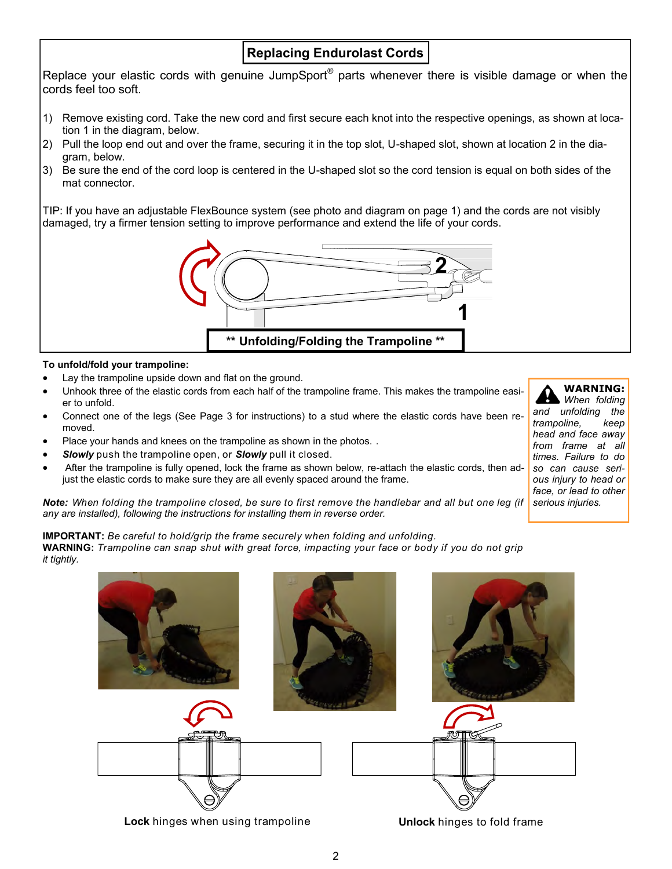## **Replacing Endurolast Cords**

Replace your elastic cords with genuine JumpSport® parts whenever there is visible damage or when the cords feel too soft.

- 1) Remove existing cord. Take the new cord and first secure each knot into the respective openings, as shown at location 1 in the diagram, below.
- 2) Pull the loop end out and over the frame, securing it in the top slot, U-shaped slot, shown at location 2 in the diagram, below.
- 3) Be sure the end of the cord loop is centered in the U-shaped slot so the cord tension is equal on both sides of the mat connector.

TIP: If you have an adjustable FlexBounce system (see photo and diagram on page 1) and the cords are not visibly damaged, try a firmer tension setting to improve performance and extend the life of your cords.



## **To unfold/fold your trampoline:**

- Lay the trampoline upside down and flat on the ground.
- Unhook three of the elastic cords from each half of the trampoline frame. This makes the trampoline easier to unfold.
- Connect one of the legs (See Page 3 for instructions) to a stud where the elastic cords have been removed.
- Place your hands and knees on the trampoline as shown in the photos. .
- *Slowly* push the trampoline open, or *Slowly* pull it closed.
- After the trampoline is fully opened, lock the frame as shown below, re-attach the elastic cords, then adjust the elastic cords to make sure they are all evenly spaced around the frame.

**Note:** When folding the trampoline closed, be sure to first remove the handlebar and all but one leg (if serious injuries. *any are installed), following the instructions for installing them in reverse order.*

**IMPORTANT:** *Be careful to hold/grip the frame securely when folding and unfolding.*

**WARNING:** *Trampoline can snap shut with great force, impacting your face or body if you do not grip it tightly.*





*When folding and unfolding the trampoline, keep head and face away from frame at all times. Failure to do so can cause serious injury to head or face, or lead to other*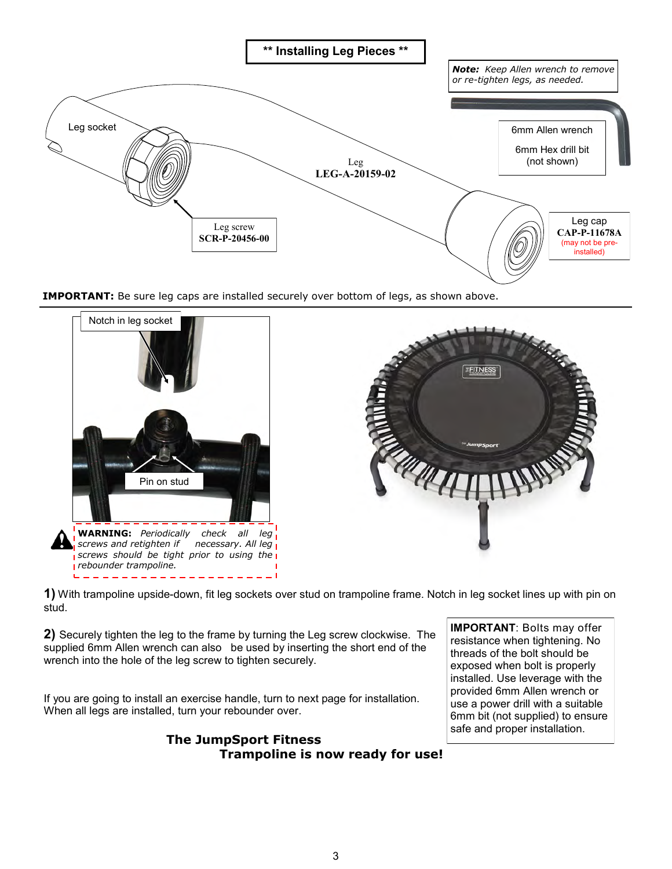

**IMPORTANT:** Be sure leg caps are installed securely over bottom of legs, as shown above.



**1)** With trampoline upside-down, fit leg sockets over stud on trampoline frame. Notch in leg socket lines up with pin on stud.

**2)** Securely tighten the leg to the frame by turning the Leg screw clockwise. The supplied 6mm Allen wrench can also be used by inserting the short end of the wrench into the hole of the leg screw to tighten securely.

If you are going to install an exercise handle, turn to next page for installation. When all legs are installed, turn your rebounder over.

> **The JumpSport Fitness Trampoline is now ready for use!**

**IMPORTANT**: Bolts may offer resistance when tightening. No threads of the bolt should be exposed when bolt is properly installed. Use leverage with the provided 6mm Allen wrench or use a power drill with a suitable 6mm bit (not supplied) to ensure safe and proper installation.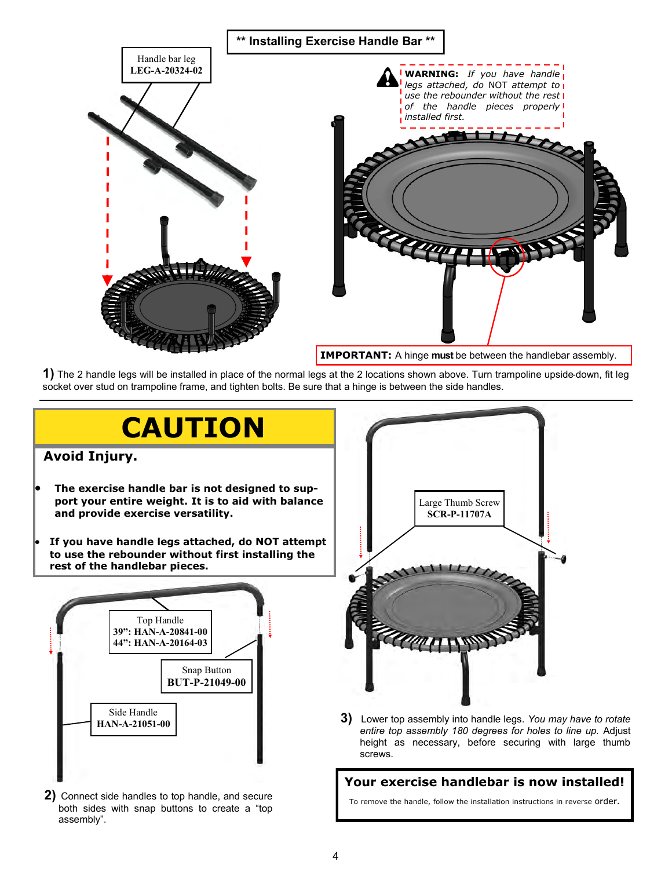

**1)** The 2 handle legs will be installed in place of the normal legs at the 2 locations shown above. Turn trampoline upside-down, fit leg socket over stud on trampoline frame, and tighten bolts. Be sure that a hinge is between the side handles.



- **2)** Connect side handles to top handle, and secure both sides with snap buttons to create a "top assembly".
- To remove the handle, follow the installation instructions in reverse order.